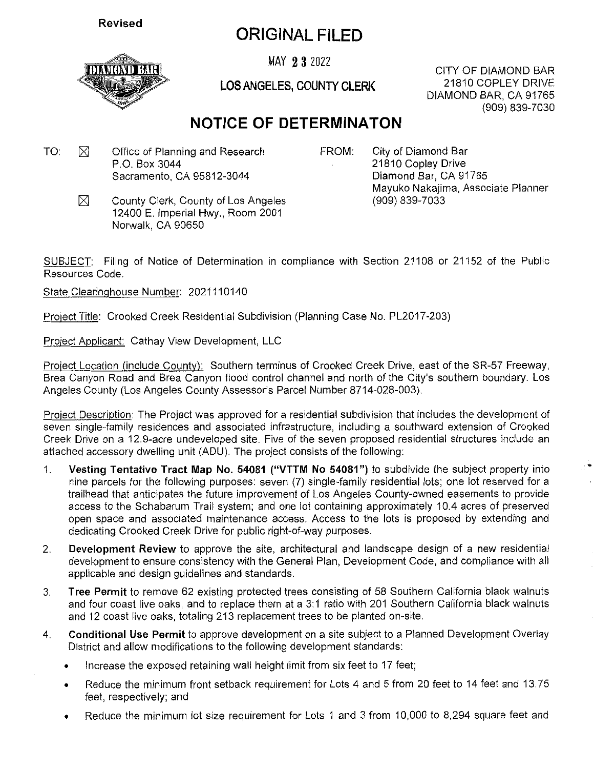**Revised**

## ORIGINALFILED

MAY 2 3 2022 CITY OF DIAMOND BAR

LOS ANGELES, COUNTY CLERK

21810 COPLEY DRIVE DIAMOND BAR, CA 91765 (909) 839-7030

### NOTICE OF DETERMINATON

- TO:  $\boxtimes$  Office of Planning and Research FROM: P.O. Box 3044 Sacramento, CA 95812-3044
	-

City of Diamond Bar 21810 Copley Drive Diamond Bar, CA 91765 Mayuko Nakajima, Associate Planner (909) 839-7033

⊠ County Clerk, County of Los Angeles 12400 E. Imperial Hwy., Room 2001 Norwalk, CA 90650

SUBJECT: Filing of Notice of Determination in compliance with Section 21108 or 21152 of the Public Resources Code.

State Clearinghouse Number: 2021110140

Project Title: Crooked Creek Residential Subdivision (Planning Case No. PL2017-203)

Project Applicant: Cathay View Development, LLC

Project Location (include County): Southern terminus of Crooked Creek Drive, east of the SR-57 Freeway. Brea Canyon Road and Brea Canyon flood control channel and north of the City's southern boundary. Los Angeles County (Los Angeles County Assessor's Parcel Number 8714-028-003).

Project Description: The Project was approved for <sup>a</sup> residential subdivision that includes the development of seven single-family residences and associated infrastructure, including <sup>a</sup> southward extension of Crooked Creek Drive on <sup>a</sup> 12.9-acre undeveloped site. Five of the seven proposed residential structures include an attached accessory dwelling unit (ADU). The project consists of the following:

- 1. **Vesting Tentative Tract Map No. 54081 ("VTTM No 54081")** to subdivide the subject property into nine parcels for the following purposes: seven (7) single-family residential lots; one lot reserved for <sup>a</sup> trailhead that anticipates the future improvement of Los Angeles County-owned easements to provide access to the Schabarum Trail system; and one lot containing approximately 10.4 acres of preserved open space and associated maintenance access. Access to the lots is proposed by extending and dedicating Crooked Creek Drive for public right-of-way purposes.
- 2. **Development Review** to approve the site, architectural and landscape design of <sup>a</sup> new residential development to ensure consistency with the General Plan, Development Code, and compliance with all applicable and design guidelines and standards.
- 3. **Tree Permit** to remove 62 existing protected trees consisting of 58 Southern California black walnuts and four coast live oaks, and to replace them at <sup>a</sup> 3:1 ratio with 201 Southern California black walnuts and 12 coast live oaks, totaling 213 replacement trees to be planted on-site.
- 4. **Conditional Use Permit** to approve development on <sup>a</sup> site subject to <sup>a</sup> Planned Development Overlay District and allow modifications to the following development standards:
	- •Increase the exposed retaining wall height limit from six feet to 17 feet;
	- • Reduce the minimum front setback requirement for Lots 4 and 5 from 20 feet to 14 feet and 13,75 feet, respectively; and
	- •Reduce the minimum lot size requirement for Lots 1 and 3 from 10,000 to 8,294 square feet and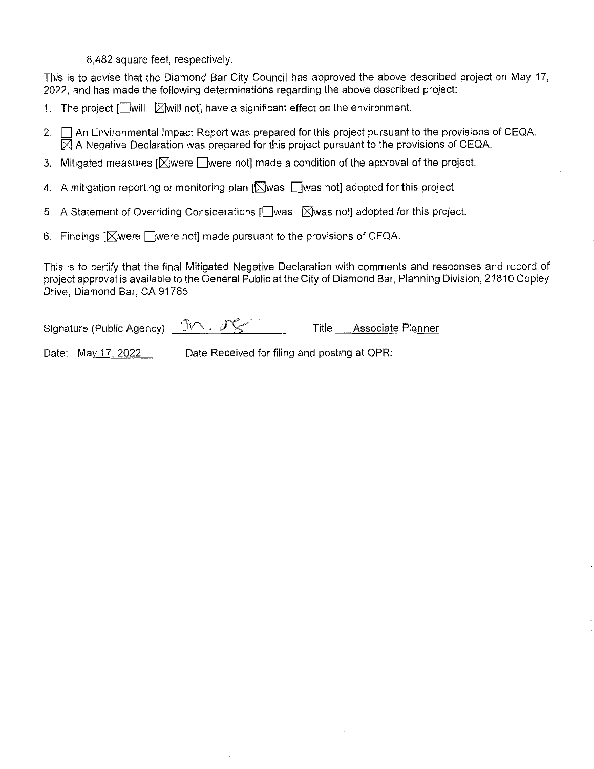8,482 square feet, respectiveiy.

This is to advise that the Diamond Bar City Council has approved the above described project on May 17 2022, and has made the following determinations regarding the above described project:

- 1. The project [t\_]will ⊠will not] have a significant effect on the environment.
- 2.  $\Box$  An Environmental Impact Report was prepared for this project pursuant to the provisions of CEQA.  $\boxtimes$  A Negative Declaration was prepared for this project pursuant to the provisions of CEQA.
- 3. Mitigated measures  $[$  $\boxtimes$ were  $[]$  were not] made a condition of the approval of the project.
- 4. A mitigation reporting or monitoring plan  $\mathbb{N}$ was  $\mathbb{N}$ was not] adopted for this project.
- 5. A Statement of Overriding Considerations [t\_]was ⊠was not] adopted for this project.
- 6. Findings  $\mathbb{N}$  were  $\Box$  were not] made pursuant to the provisions of CEQA.

This is to certify that the final Mitigated Negative Declaration with comments and responses and record of project approval is available to the General Public at the City of Diamond Bar, Planning Division, 21810 Copley Drive, Diamond Bar, CA 91765.

Signature (Public Agency)  $\mathbb{O} \wedge$  ,  $\mathscr{I} \subsetneq \mathbb{C}$  Title Associate Planner

Date: May 17, 2022 Date Received for filing and posting at OPR: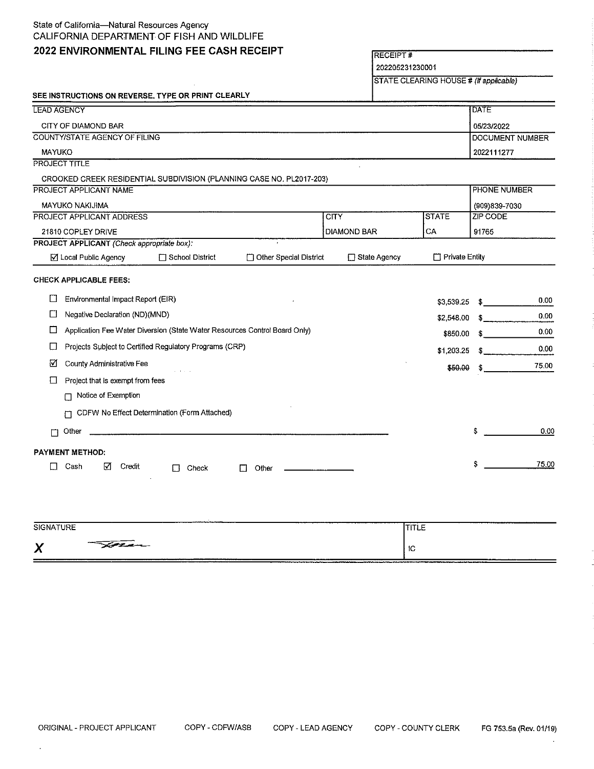#### State of California—Natural Resources Agency CALIFORNIA DEPARTMENT OF FISH AND WILDLIFE

#### **2022 ENVIRONMENTAL FILING FEE CASH RECEIPT** RECEIPT#

 $\bar{z}$ 

202205231230001

STATE CLEARING HOUSE # (If applicable)

| <b>LEAD AGENCY</b>                                                              |                                            |                                              |                                                                      |                    |                       | <b>DATE</b>     |  |
|---------------------------------------------------------------------------------|--------------------------------------------|----------------------------------------------|----------------------------------------------------------------------|--------------------|-----------------------|-----------------|--|
|                                                                                 | CITY OF DIAMOND BAR                        |                                              |                                                                      |                    |                       | 05/23/2022      |  |
| COUNTY/STATE AGENCY OF FILING                                                   |                                            |                                              |                                                                      |                    | DOCUMENT NUMBER       |                 |  |
| <b>MAYUKO</b>                                                                   |                                            |                                              |                                                                      |                    |                       | 2022111277      |  |
|                                                                                 | <b>PROJECT TITLE</b>                       |                                              |                                                                      |                    |                       |                 |  |
|                                                                                 |                                            |                                              | CROOKED CREEK RESIDENTIAL SUBDIVISION (PLANNING CASE NO. PL2017-203) |                    |                       |                 |  |
|                                                                                 | PROJECT APPLICANT NAME                     |                                              |                                                                      |                    |                       | PHONE NUMBER    |  |
|                                                                                 | <b>MAYUKO NAKIJIMA</b>                     |                                              |                                                                      |                    |                       | (909)839-7030   |  |
|                                                                                 | PROJECT APPLICANT ADDRESS                  |                                              |                                                                      | <b>CITY</b>        | <b>STATE</b>          | <b>ZIP CODE</b> |  |
|                                                                                 | 21810 COPLEY DRIVE                         |                                              |                                                                      | <b>DIAMOND BAR</b> | CA                    | 91765           |  |
|                                                                                 | PROJECT APPLICANT (Check appropriate box): |                                              |                                                                      |                    |                       |                 |  |
|                                                                                 | ☑ Local Public Agency                      | □ School District                            | □ Other Special District                                             | □ State Agency     | $\Box$ Private Entity |                 |  |
|                                                                                 | <b>CHECK APPLICABLE FEES:</b>              |                                              |                                                                      |                    |                       |                 |  |
| $\Box$                                                                          | Environmental Impact Report (EIR)          |                                              |                                                                      |                    | \$3,539.25            | 0.00<br>-S.     |  |
| $\perp$ 1                                                                       | Negative Declaration (ND) (MND)            |                                              |                                                                      |                    | \$2,548.00            | 0.00<br>s.      |  |
| Application Fee Water Diversion (State Water Resources Control Board Only)<br>⊔ |                                            |                                              |                                                                      |                    | \$850.00              | 0.00            |  |
| Projects Subject to Certified Regulatory Programs (CRP)<br>L.                   |                                            |                                              |                                                                      |                    | \$1,203.25            | 0.00<br>S       |  |
| M                                                                               | County Administrative Fee                  |                                              |                                                                      |                    | \$50.00               | 75.00<br>\$     |  |
| ப                                                                               | Project that is exempt from fees           |                                              |                                                                      |                    |                       |                 |  |
|                                                                                 | Notice of Exemption<br>П                   |                                              |                                                                      |                    |                       |                 |  |
|                                                                                 |                                            | CDFW No Effect Determination (Form Attached) |                                                                      |                    |                       |                 |  |
| П                                                                               | Other                                      |                                              |                                                                      |                    |                       | 0.00<br>\$      |  |
| <b>PAYMENT METHOD:</b>                                                          |                                            |                                              |                                                                      |                    |                       |                 |  |
| LJ                                                                              | Cash<br>Credit<br>⊠                        | Check<br>П                                   | Other                                                                |                    |                       | 75.00<br>\$     |  |

| <b>SIGNATURE</b>  |                  | -----             |
|-------------------|------------------|-------------------|
| $\mathbf{v}$<br>↗ | <u> Saran - </u> | $\sim$ 100<br>ت 1 |

 $\overline{\phantom{a}}$ 

 $\ddot{\phantom{a}}$